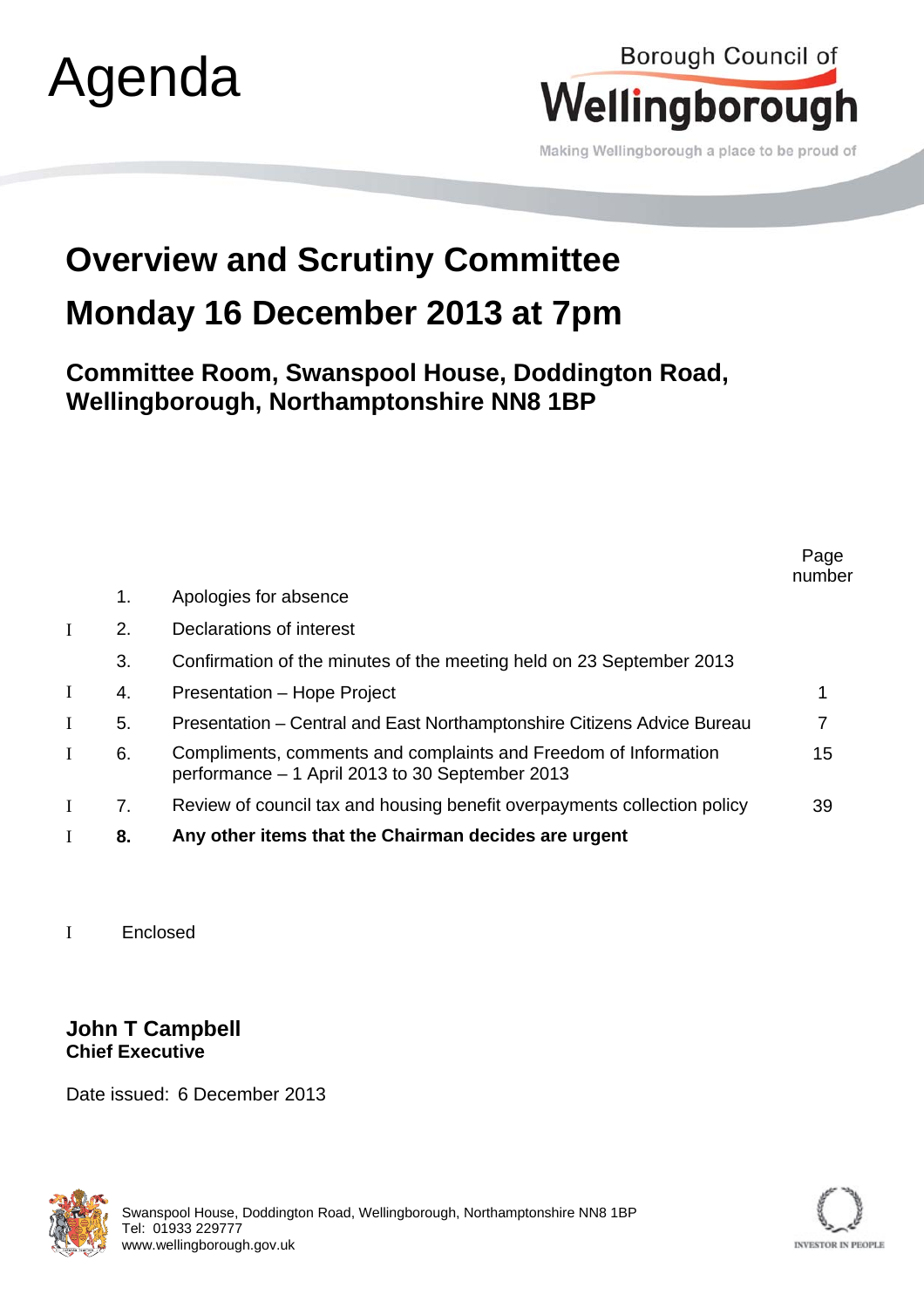## Agenda

## Borough Council of Wellingborough

Making Wellingborough a place to be proud of

## **Overview and Scrutiny Committee Monday 16 December 2013 at 7pm**

**Committee Room, Swanspool House, Doddington Road, Wellingborough, Northamptonshire NN8 1BP** 

|          |                |                                                                                                                    | Page<br>number |
|----------|----------------|--------------------------------------------------------------------------------------------------------------------|----------------|
|          | 1.             | Apologies for absence                                                                                              |                |
| I        | 2.             | Declarations of interest                                                                                           |                |
|          | 3.             | Confirmation of the minutes of the meeting held on 23 September 2013                                               |                |
| $\bf{I}$ | 4.             | Presentation - Hope Project                                                                                        |                |
| I        | 5.             | Presentation – Central and East Northamptonshire Citizens Advice Bureau                                            |                |
| I        | 6.             | Compliments, comments and complaints and Freedom of Information<br>performance - 1 April 2013 to 30 September 2013 | 15             |
| I        | 7 <sub>1</sub> | Review of council tax and housing benefit overpayments collection policy                                           | 39             |
| I        | 8.             | Any other items that the Chairman decides are urgent                                                               |                |

Enclosed

## **John T Campbell Chief Executive**

Date issued: 6 December 2013